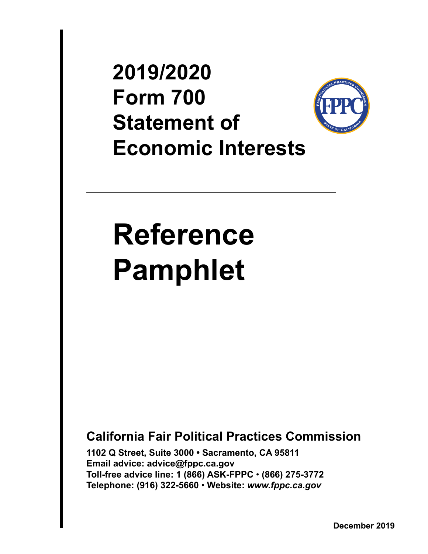<span id="page-0-0"></span>**2019/2020 Form 700 Statement of Economic Interests**



# **Reference Pamphlet**

**California Fair Political Practices Commission**

**1102 Q Street, Suite 3000 • Sacramento, CA 95811 Email advice: advice@fppc.ca.gov Toll-free advice line: 1 (866) ASK-FPPC** • **(866) 275-3772 Telephone: (916) 322-5660** • **Website:** *www.fppc.ca.gov*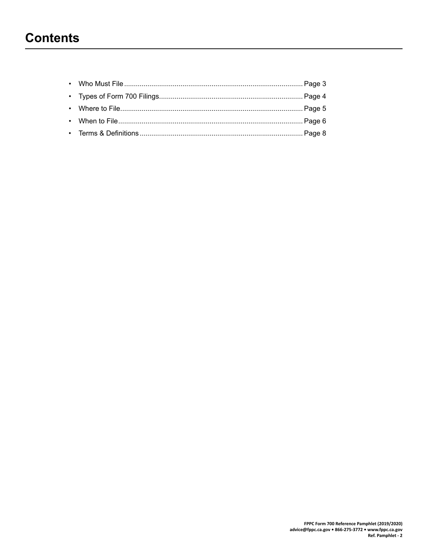# <span id="page-1-0"></span>**Contents**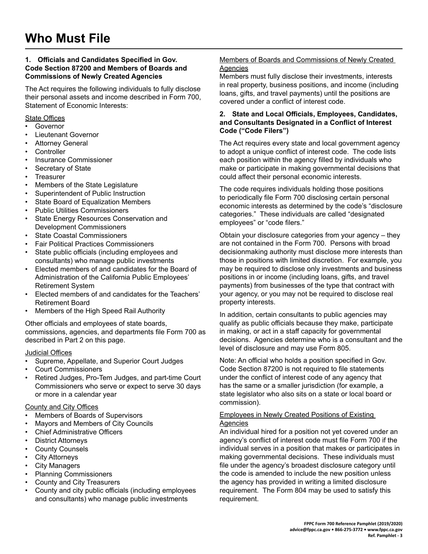#### <span id="page-2-0"></span>**1. Officials and Candidates Specified in Gov. Code Section 87200 and Members of Boards and Commissions of Newly Created Agencies**

The Act requires the following individuals to fully disclose their personal assets and income described in Form 700, Statement of Economic Interests:

#### State Offices

- Governor
- Lieutenant Governor
- **Attorney General**
- **Controller**
- Insurance Commissioner
- Secretary of State
- **Treasurer**
- Members of the State Legislature
- Superintendent of Public Instruction
- State Board of Equalization Members
- Public Utilities Commissioners
- State Energy Resources Conservation and Development Commissioners
- **State Coastal Commissioners**
- Fair Political Practices Commissioners
- State public officials (including employees and consultants) who manage public investments
- Elected members of and candidates for the Board of Administration of the California Public Employees' Retirement System
- Elected members of and candidates for the Teachers' Retirement Board
- Members of the High Speed Rail Authority

Other officials and employees of state boards, commissions, agencies, and departments file Form 700 as described in Part 2 on this page.

#### Judicial Offices

- Supreme, Appellate, and Superior Court Judges
- Court Commissioners
- Retired Judges, Pro-Tem Judges, and part-time Court Commissioners who serve or expect to serve 30 days or more in a calendar year

#### County and City Offices

- Members of Boards of Supervisors
- Mayors and Members of City Councils
- **Chief Administrative Officers**
- **District Attorneys**
- **County Counsels**
- **City Attorneys**
- **City Managers**
- Planning Commissioners
- County and City Treasurers
- County and city public officials (including employees and consultants) who manage public investments

#### Members of Boards and Commissions of Newly Created Agencies

Members must fully disclose their investments, interests in real property, business positions, and income (including loans, gifts, and travel payments) until the positions are covered under a conflict of interest code.

#### **2. State and Local Officials, Employees, Candidates, and Consultants Designated in a Conflict of Interest Code ("Code Filers")**

The Act requires every state and local government agency to adopt a unique conflict of interest code. The code lists each position within the agency filled by individuals who make or participate in making governmental decisions that could affect their personal economic interests.

The code requires individuals holding those positions to periodically file Form 700 disclosing certain personal economic interests as determined by the code's "disclosure categories." These individuals are called "designated employees" or "code filers."

Obtain your disclosure categories from your agency – they are not contained in the Form 700. Persons with broad decisionmaking authority must disclose more interests than those in positions with limited discretion. For example, you may be required to disclose only investments and business positions in or income (including loans, gifts, and travel payments) from businesses of the type that contract with your agency, or you may not be required to disclose real property interests.

In addition, certain consultants to public agencies may qualify as public officials because they make, participate in making, or act in a staff capacity for governmental decisions. Agencies determine who is a consultant and the level of disclosure and may use Form 805.

Note: An official who holds a position specified in Gov. Code Section 87200 is not required to file statements under the conflict of interest code of any agency that has the same or a smaller jurisdiction (for example, a state legislator who also sits on a state or local board or commission).

#### Employees in Newly Created Positions of Existing Agencies

An individual hired for a position not yet covered under an agency's conflict of interest code must file Form 700 if the individual serves in a position that makes or participates in making governmental decisions. These individuals must file under the agency's broadest disclosure category until the code is amended to include the new position unless the agency has provided in writing a limited disclosure requirement. The Form 804 may be used to satisfy this requirement.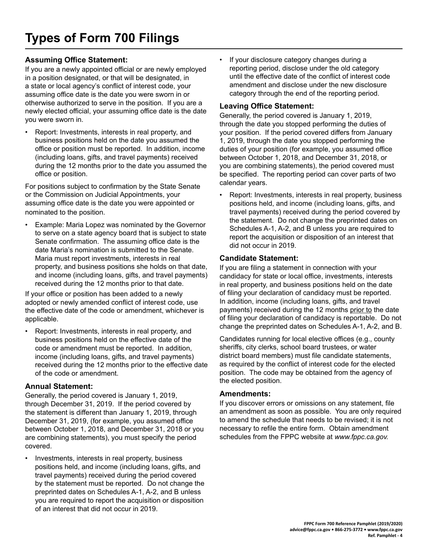# <span id="page-3-0"></span>**Assuming Office Statement:**

If you are a newly appointed official or are newly employed in a position designated, or that will be designated, in a state or local agency's conflict of interest code, your assuming office date is the date you were sworn in or otherwise authorized to serve in the position. If you are a newly elected official, your assuming office date is the date you were sworn in.

• Report: Investments, interests in real property, and business positions held on the date you assumed the office or position must be reported. In addition, income (including loans, gifts, and travel payments) received during the 12 months prior to the date you assumed the office or position.

For positions subject to confirmation by the State Senate or the Commission on Judicial Appointments, your assuming office date is the date you were appointed or nominated to the position.

Example: Maria Lopez was nominated by the Governor to serve on a state agency board that is subject to state Senate confirmation. The assuming office date is the date Maria's nomination is submitted to the Senate. Maria must report investments, interests in real property, and business positions she holds on that date, and income (including loans, gifts, and travel payments) received during the 12 months prior to that date.

If your office or position has been added to a newly adopted or newly amended conflict of interest code, use the effective date of the code or amendment, whichever is applicable.

• Report: Investments, interests in real property, and business positions held on the effective date of the code or amendment must be reported. In addition, income (including loans, gifts, and travel payments) received during the 12 months prior to the effective date of the code or amendment.

# **Annual Statement:**

Generally, the period covered is January 1, 2019, through December 31, 2019. If the period covered by the statement is different than January 1, 2019, through December 31, 2019, (for example, you assumed office between October 1, 2018, and December 31, 2018 or you are combining statements), you must specify the period covered.

Investments, interests in real property, business positions held, and income (including loans, gifts, and travel payments) received during the period covered by the statement must be reported. Do not change the preprinted dates on Schedules A-1, A-2, and B unless you are required to report the acquisition or disposition of an interest that did not occur in 2019.

• If your disclosure category changes during a reporting period, disclose under the old category until the effective date of the conflict of interest code amendment and disclose under the new disclosure category through the end of the reporting period.

# **Leaving Office Statement:**

Generally, the period covered is January 1, 2019, through the date you stopped performing the duties of your position. If the period covered differs from January 1, 2019, through the date you stopped performing the duties of your position (for example, you assumed office between October 1, 2018, and December 31, 2018, or you are combining statements), the period covered must be specified. The reporting period can cover parts of two calendar years.

• Report: Investments, interests in real property, business positions held, and income (including loans, gifts, and travel payments) received during the period covered by the statement. Do not change the preprinted dates on Schedules A-1, A-2, and B unless you are required to report the acquisition or disposition of an interest that did not occur in 2019.

# **Candidate Statement:**

If you are filing a statement in connection with your candidacy for state or local office, investments, interests in real property, and business positions held on the date of filing your declaration of candidacy must be reported. In addition, income (including loans, gifts, and travel payments) received during the 12 months prior to the date of filing your declaration of candidacy is reportable. Do not change the preprinted dates on Schedules A-1, A-2, and B.

Candidates running for local elective offices (e.g., county sheriffs, city clerks, school board trustees, or water district board members) must file candidate statements, as required by the conflict of interest code for the elected position. The code may be obtained from the agency of the elected position.

## **Amendments:**

If you discover errors or omissions on any statement, file an amendment as soon as possible. You are only required to amend the schedule that needs to be revised; it is not necessary to refile the entire form. Obtain amendment schedules from the FPPC website at *www.fppc.ca.gov.*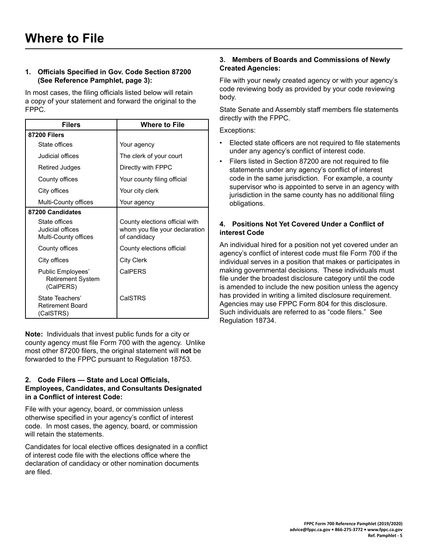#### <span id="page-4-0"></span>**1. Officials Specified in Gov. Code Section 87200 (See Reference Pamphlet, page 3):**

In most cases, the filing officials listed below will retain a copy of your statement and forward the original to the FPPC.

| <b>Filers</b>                                              | <b>Where to File</b>                                                             |
|------------------------------------------------------------|----------------------------------------------------------------------------------|
| 87200 Filers                                               |                                                                                  |
| State offices                                              | Your agency                                                                      |
| Judicial offices                                           | The clerk of your court                                                          |
| Retired Judges                                             | Directly with FPPC                                                               |
| County offices                                             | Your county filing official                                                      |
| City offices                                               | Your city clerk                                                                  |
| Multi-County offices                                       | Your agency                                                                      |
| 87200 Candidates                                           |                                                                                  |
| State offices<br>Judicial offices<br>Multi-County offices  | County elections official with<br>whom you file your declaration<br>of candidacy |
| County offices                                             | County elections official                                                        |
| City offices                                               | <b>City Clerk</b>                                                                |
| Public Employees'<br><b>Retirement System</b><br>(CalPERS) | CalPERS                                                                          |
| State Teachers'<br><b>Retirement Board</b><br>(CalSTRS)    | CalSTRS                                                                          |

**Note:** Individuals that invest public funds for a city or county agency must file Form 700 with the agency. Unlike most other 87200 filers, the original statement will **not** be forwarded to the FPPC pursuant to Regulation 18753.

#### **2. Code Filers — State and Local Officials, Employees, Candidates, and Consultants Designated in a Conflict of interest Code:**

File with your agency, board, or commission unless otherwise specified in your agency's conflict of interest code. In most cases, the agency, board, or commission will retain the statements.

Candidates for local elective offices designated in a conflict of interest code file with the elections office where the declaration of candidacy or other nomination documents are filed.

#### **3. Members of Boards and Commissions of Newly Created Agencies:**

File with your newly created agency or with your agency's code reviewing body as provided by your code reviewing body.

State Senate and Assembly staff members file statements directly with the FPPC.

Exceptions:

- Elected state officers are not required to file statements under any agency's conflict of interest code.
- Filers listed in Section 87200 are not required to file statements under any agency's conflict of interest code in the same jurisdiction. For example, a county supervisor who is appointed to serve in an agency with jurisdiction in the same county has no additional filing obligations.

#### **4. Positions Not Yet Covered Under a Conflict of interest Code**

An individual hired for a position not yet covered under an agency's conflict of interest code must file Form 700 if the individual serves in a position that makes or participates in making governmental decisions. These individuals must file under the broadest disclosure category until the code is amended to include the new position unless the agency has provided in writing a limited disclosure requirement. Agencies may use FPPC Form 804 for this disclosure. Such individuals are referred to as "code filers." See Regulation 18734.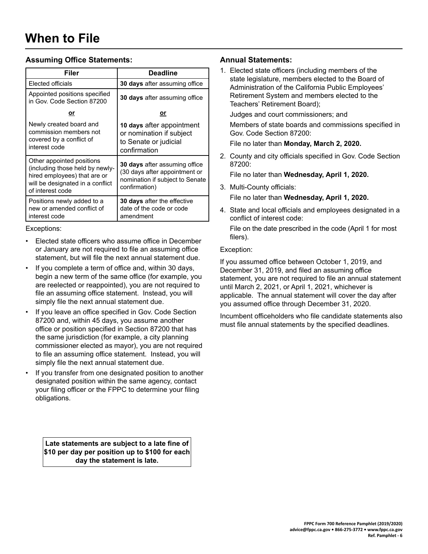# <span id="page-5-0"></span>**Assuming Office Statements:**

| Filer                                                                                                                                                | <b>Deadline</b>                                                                                                           |
|------------------------------------------------------------------------------------------------------------------------------------------------------|---------------------------------------------------------------------------------------------------------------------------|
| Elected officials                                                                                                                                    | <b>30 days</b> after assuming office                                                                                      |
| Appointed positions specified<br>in Gov. Code Section 87200                                                                                          | 30 days after assuming office                                                                                             |
| or                                                                                                                                                   | <u>or</u>                                                                                                                 |
| Newly created board and<br>commission members not<br>covered by a conflict of<br>interest code                                                       | 10 days after appointment<br>or nomination if subject<br>to Senate or judicial<br>confirmation                            |
| Other appointed positions<br>(including those held by newly-<br>hired employees) that are or<br>will be designated in a conflict<br>of interest code | <b>30 days</b> after assuming office<br>(30 days after appointment or<br>nomination if subject to Senate<br>confirmation) |
| Positions newly added to a<br>new or amended conflict of<br>interest code                                                                            | <b>30 days</b> after the effective<br>date of the code or code<br>amendment                                               |

#### Exceptions:

- Elected state officers who assume office in December or January are not required to file an assuming office statement, but will file the next annual statement due.
- If you complete a term of office and, within 30 days, begin a new term of the same office (for example, you are reelected or reappointed), you are not required to file an assuming office statement. Instead, you will simply file the next annual statement due.
- If you leave an office specified in Gov. Code Section 87200 and, within 45 days, you assume another office or position specified in Section 87200 that has the same jurisdiction (for example, a city planning commissioner elected as mayor), you are not required to file an assuming office statement. Instead, you will simply file the next annual statement due.
- If you transfer from one designated position to another designated position within the same agency, contact your filing officer or the FPPC to determine your filing obligations.

**Late statements are subject to a late fine of \$10 per day per position up to \$100 for each day the statement is late.**

#### **Annual Statements:**

1. Elected state officers (including members of the state legislature, members elected to the Board of Administration of the California Public Employees' Retirement System and members elected to the Teachers' Retirement Board);

Judges and court commissioners; and

Members of state boards and commissions specified in Gov. Code Section 87200:

File no later than **Monday, March 2, 2020.**

2. County and city officials specified in Gov. Code Section 87200:

File no later than **Wednesday, April 1, 2020.**

3. Multi-County officials:

File no later than **Wednesday, April 1, 2020.**

4. State and local officials and employees designated in a conflict of interest code:

#### Exception:

If you assumed office between October 1, 2019, and December 31, 2019, and filed an assuming office statement, you are not required to file an annual statement until March 2, 2021, or April 1, 2021, whichever is applicable. The annual statement will cover the day after you assumed office through December 31, 2020.

Incumbent officeholders who file candidate statements also must file annual statements by the specified deadlines.

File on the date prescribed in the code (April 1 for most filers).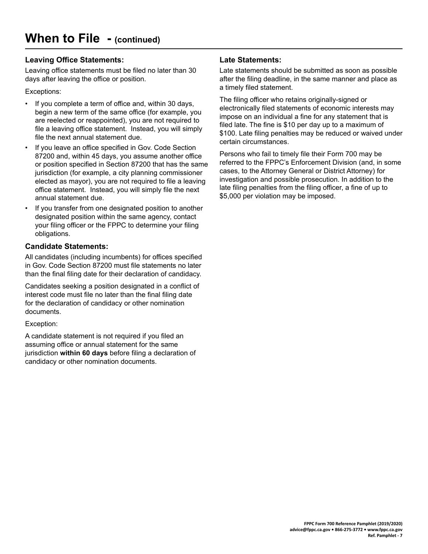# **Leaving Office Statements:**

Leaving office statements must be filed no later than 30 days after leaving the office or position.

#### Exceptions:

- If you complete a term of office and, within 30 days, begin a new term of the same office (for example, you are reelected or reappointed), you are not required to file a leaving office statement. Instead, you will simply file the next annual statement due.
- If you leave an office specified in Gov. Code Section 87200 and, within 45 days, you assume another office or position specified in Section 87200 that has the same jurisdiction (for example, a city planning commissioner elected as mayor), you are not required to file a leaving office statement. Instead, you will simply file the next annual statement due.
- If you transfer from one designated position to another designated position within the same agency, contact your filing officer or the FPPC to determine your filing obligations.

## **Candidate Statements:**

All candidates (including incumbents) for offices specified in Gov. Code Section 87200 must file statements no later than the final filing date for their declaration of candidacy.

Candidates seeking a position designated in a conflict of interest code must file no later than the final filing date for the declaration of candidacy or other nomination documents.

Exception:

A candidate statement is not required if you filed an assuming office or annual statement for the same jurisdiction **within 60 days** before filing a declaration of candidacy or other nomination documents.

## **Late Statements:**

Late statements should be submitted as soon as possible after the filing deadline, in the same manner and place as a timely filed statement.

The filing officer who retains originally-signed or electronically filed statements of economic interests may impose on an individual a fine for any statement that is filed late. The fine is \$10 per day up to a maximum of \$100. Late filing penalties may be reduced or waived under certain circumstances.

Persons who fail to timely file their Form 700 may be referred to the FPPC's Enforcement Division (and, in some cases, to the Attorney General or District Attorney) for investigation and possible prosecution. In addition to the late filing penalties from the filing officer, a fine of up to \$5,000 per violation may be imposed.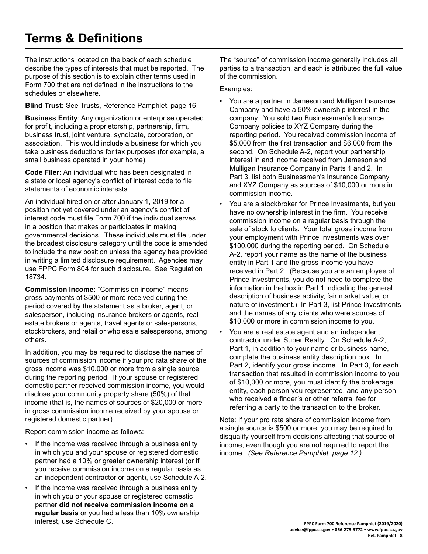# <span id="page-7-0"></span>**Terms & Definitions**

The instructions located on the back of each schedule describe the types of interests that must be reported. The purpose of this section is to explain other terms used in Form 700 that are not defined in the instructions to the schedules or elsewhere.

**Blind Trust:** See Trusts, Reference Pamphlet, page 16.

**Business Entity**: Any organization or enterprise operated for profit, including a proprietorship, partnership, firm, business trust, joint venture, syndicate, corporation, or association. This would include a business for which you take business deductions for tax purposes (for example, a small business operated in your home).

**Code Filer:** An individual who has been designated in a state or local agency's conflict of interest code to file statements of economic interests.

An individual hired on or after January 1, 2019 for a position not yet covered under an agency's conflict of interest code must file Form 700 if the individual serves in a position that makes or participates in making governmental decisions. These individuals must file under the broadest disclosure category until the code is amended to include the new position unless the agency has provided in writing a limited disclosure requirement. Agencies may use FPPC Form 804 for such disclosure. See Regulation 18734.

**Commission Income:** "Commission income" means gross payments of \$500 or more received during the period covered by the statement as a broker, agent, or salesperson, including insurance brokers or agents, real estate brokers or agents, travel agents or salespersons, stockbrokers, and retail or wholesale salespersons, among others.

In addition, you may be required to disclose the names of sources of commission income if your pro rata share of the gross income was \$10,000 or more from a single source during the reporting period. If your spouse or registered domestic partner received commission income, you would disclose your community property share (50%) of that income (that is, the names of sources of \$20,000 or more in gross commission income received by your spouse or registered domestic partner).

Report commission income as follows:

- If the income was received through a business entity in which you and your spouse or registered domestic partner had a 10% or greater ownership interest (or if you receive commission income on a regular basis as an independent contractor or agent), use Schedule A-2.
- If the income was received through a business entity in which you or your spouse or registered domestic partner **did not receive commission income on a regular basis** or you had a less than 10% ownership interest, use Schedule C.

The "source" of commission income generally includes all parties to a transaction, and each is attributed the full value of the commission.

Examples:

- You are a partner in Jameson and Mulligan Insurance Company and have a 50% ownership interest in the company. You sold two Businessmen's Insurance Company policies to XYZ Company during the reporting period. You received commission income of \$5,000 from the first transaction and \$6,000 from the second. On Schedule A-2, report your partnership interest in and income received from Jameson and Mulligan Insurance Company in Parts 1 and 2. In Part 3, list both Businessmen's Insurance Company and XYZ Company as sources of \$10,000 or more in commission income.
- You are a stockbroker for Prince Investments, but you have no ownership interest in the firm. You receive commission income on a regular basis through the sale of stock to clients. Your total gross income from your employment with Prince Investments was over \$100,000 during the reporting period. On Schedule A-2, report your name as the name of the business entity in Part 1 and the gross income you have received in Part 2. (Because you are an employee of Prince Investments, you do not need to complete the information in the box in Part 1 indicating the general description of business activity, fair market value, or nature of investment.) In Part 3, list Prince Investments and the names of any clients who were sources of \$10,000 or more in commission income to you.
- You are a real estate agent and an independent contractor under Super Realty. On Schedule A-2, Part 1, in addition to your name or business name, complete the business entity description box. In Part 2, identify your gross income. In Part 3, for each transaction that resulted in commission income to you of \$10,000 or more, you must identify the brokerage entity, each person you represented, and any person who received a finder's or other referral fee for referring a party to the transaction to the broker.

Note: If your pro rata share of commission income from a single source is \$500 or more, you may be required to disqualify yourself from decisions affecting that source of income, even though you are not required to report the income. *(See Reference Pamphlet, page 12.)*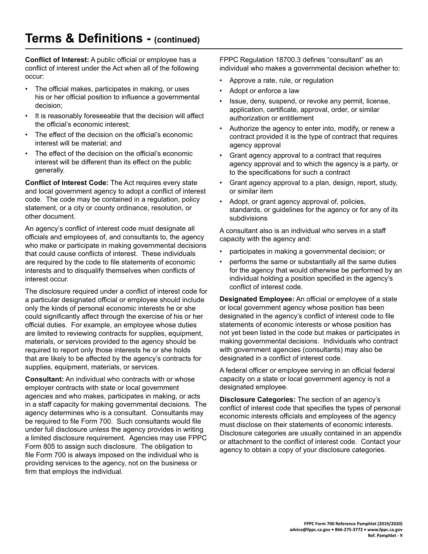**Conflict of Interest:** A public official or employee has a conflict of interest under the Act when all of the following occur:

- The official makes, participates in making, or uses his or her official position to influence a governmental decision;
- It is reasonably foreseeable that the decision will affect the official's economic interest;
- The effect of the decision on the official's economic interest will be material; and
- The effect of the decision on the official's economic interest will be different than its effect on the public generally.

**Conflict of Interest Code:** The Act requires every state and local government agency to adopt a conflict of interest code. The code may be contained in a regulation, policy statement, or a city or county ordinance, resolution, or other document.

An agency's conflict of interest code must designate all officials and employees of, and consultants to, the agency who make or participate in making governmental decisions that could cause conflicts of interest. These individuals are required by the code to file statements of economic interests and to disqualify themselves when conflicts of interest occur.

The disclosure required under a conflict of interest code for a particular designated official or employee should include only the kinds of personal economic interests he or she could significantly affect through the exercise of his or her official duties. For example, an employee whose duties are limited to reviewing contracts for supplies, equipment, materials, or services provided to the agency should be required to report only those interests he or she holds that are likely to be affected by the agency's contracts for supplies, equipment, materials, or services.

**Consultant:** An individual who contracts with or whose employer contracts with state or local government agencies and who makes, participates in making, or acts in a staff capacity for making governmental decisions. The agency determines who is a consultant. Consultants may be required to file Form 700. Such consultants would file under full disclosure unless the agency provides in writing a limited disclosure requirement. Agencies may use FPPC Form 805 to assign such disclosure. The obligation to file Form 700 is always imposed on the individual who is providing services to the agency, not on the business or firm that employs the individual.

FPPC Regulation 18700.3 defines "consultant" as an individual who makes a governmental decision whether to:

- Approve a rate, rule, or regulation
- Adopt or enforce a law
- Issue, deny, suspend, or revoke any permit, license, application, certificate, approval, order, or similar authorization or entitlement
- Authorize the agency to enter into, modify, or renew a contract provided it is the type of contract that requires agency approval
- Grant agency approval to a contract that requires agency approval and to which the agency is a party, or to the specifications for such a contract
- Grant agency approval to a plan, design, report, study, or similar item
- Adopt, or grant agency approval of, policies, standards, or guidelines for the agency or for any of its subdivisions

A consultant also is an individual who serves in a staff capacity with the agency and:

- participates in making a governmental decision; or
- performs the same or substantially all the same duties for the agency that would otherwise be performed by an individual holding a position specified in the agency's conflict of interest code.

**Designated Employee:** An official or employee of a state or local government agency whose position has been designated in the agency's conflict of interest code to file statements of economic interests or whose position has not yet been listed in the code but makes or participates in making governmental decisions. Individuals who contract with government agencies (consultants) may also be designated in a conflict of interest code.

A federal officer or employee serving in an official federal capacity on a state or local government agency is not a designated employee.

**Disclosure Categories:** The section of an agency's conflict of interest code that specifies the types of personal economic interests officials and employees of the agency must disclose on their statements of economic interests. Disclosure categories are usually contained in an appendix or attachment to the conflict of interest code. Contact your agency to obtain a copy of your disclosure categories.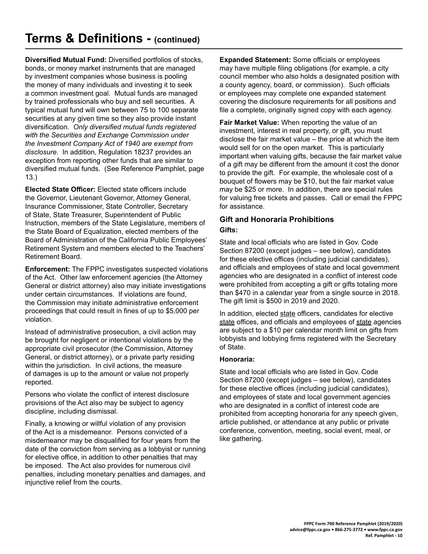**Diversified Mutual Fund:** Diversified portfolios of stocks, bonds, or money market instruments that are managed by investment companies whose business is pooling the money of many individuals and investing it to seek a common investment goal. Mutual funds are managed by trained professionals who buy and sell securities. A typical mutual fund will own between 75 to 100 separate securities at any given time so they also provide instant diversification. *Only diversified mutual funds registered with the Securities and Exchange Commission under the Investment Company Act of 1940 are exempt from disclosure.* In addition, Regulation 18237 provides an exception from reporting other funds that are similar to diversified mutual funds. (See Reference Pamphlet, page 13.)

**Elected State Officer:** Elected state officers include the Governor, Lieutenant Governor, Attorney General, Insurance Commissioner, State Controller, Secretary of State, State Treasurer, Superintendent of Public Instruction, members of the State Legislature, members of the State Board of Equalization, elected members of the Board of Administration of the California Public Employees' Retirement System and members elected to the Teachers' Retirement Board.

**Enforcement:** The FPPC investigates suspected violations of the Act. Other law enforcement agencies (the Attorney General or district attorney) also may initiate investigations under certain circumstances. If violations are found, the Commission may initiate administrative enforcement proceedings that could result in fines of up to \$5,000 per violation.

Instead of administrative prosecution, a civil action may be brought for negligent or intentional violations by the appropriate civil prosecutor (the Commission, Attorney General, or district attorney), or a private party residing within the jurisdiction. In civil actions, the measure of damages is up to the amount or value not properly reported.

Persons who violate the conflict of interest disclosure provisions of the Act also may be subject to agency discipline, including dismissal.

Finally, a knowing or willful violation of any provision of the Act is a misdemeanor. Persons convicted of a misdemeanor may be disqualified for four years from the date of the conviction from serving as a lobbyist or running for elective office, in addition to other penalties that may be imposed. The Act also provides for numerous civil penalties, including monetary penalties and damages, and injunctive relief from the courts.

**Expanded Statement:** Some officials or employees may have multiple filing obligations (for example, a city council member who also holds a designated position with a county agency, board, or commission). Such officials or employees may complete one expanded statement covering the disclosure requirements for all positions and file a complete, originally signed copy with each agency.

**Fair Market Value:** When reporting the value of an investment, interest in real property, or gift, you must disclose the fair market value – the price at which the item would sell for on the open market. This is particularly important when valuing gifts, because the fair market value of a gift may be different from the amount it cost the donor to provide the gift. For example, the wholesale cost of a bouquet of flowers may be \$10, but the fair market value may be \$25 or more. In addition, there are special rules for valuing free tickets and passes. Call or email the FPPC for assistance.

## **Gift and Honoraria Prohibitions Gifts:**

State and local officials who are listed in Gov. Code Section 87200 (except judges – see below), candidates for these elective offices (including judicial candidates), and officials and employees of state and local government agencies who are designated in a conflict of interest code were prohibited from accepting a gift or gifts totaling more than \$470 in a calendar year from a single source in 2018. The gift limit is \$500 in 2019 and 2020.

In addition, elected state officers, candidates for elective state offices, and officials and employees of state agencies are subject to a \$10 per calendar month limit on gifts from lobbyists and lobbying firms registered with the Secretary of State.

#### **Honoraria:**

State and local officials who are listed in Gov. Code Section 87200 (except judges – see below), candidates for these elective offices (including judicial candidates), and employees of state and local government agencies who are designated in a conflict of interest code are prohibited from accepting honoraria for any speech given, article published, or attendance at any public or private conference, convention, meeting, social event, meal, or like gathering.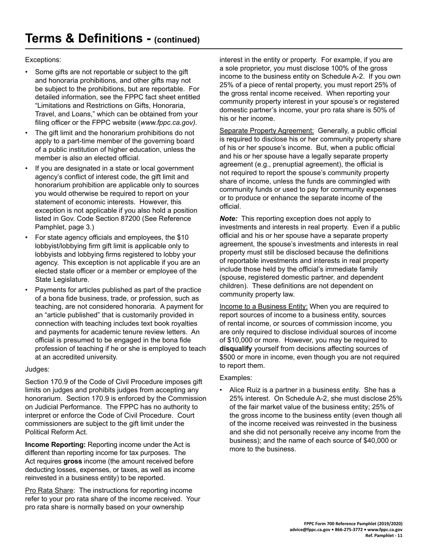Exceptions:

- Some gifts are not reportable or subject to the gift and honoraria prohibitions, and other gifts may not be subject to the prohibitions, but are reportable. For detailed information, see the FPPC fact sheet entitled "Limitations and Restrictions on Gifts, Honoraria, Travel, and Loans," which can be obtained from your filing officer or the FPPC website (*www.fppc.ca.gov).*
- The gift limit and the honorarium prohibitions do not apply to a part-time member of the governing board of a public institution of higher education, unless the member is also an elected official.
- If you are designated in a state or local government agency's conflict of interest code, the gift limit and honorarium prohibition are applicable only to sources you would otherwise be required to report on your statement of economic interests. However, this exception is not applicable if you also hold a position listed in Gov. Code Section 87200 (See Reference Pamphlet, page 3.)
- For state agency officials and employees, the \$10 lobbyist/lobbying firm gift limit is applicable only to lobbyists and lobbying firms registered to lobby your agency. This exception is not applicable if you are an elected state officer or a member or employee of the State Legislature.
- Payments for articles published as part of the practice of a bona fide business, trade, or profession, such as teaching, are not considered honoraria. A payment for an "article published" that is customarily provided in connection with teaching includes text book royalties and payments for academic tenure review letters. An official is presumed to be engaged in the bona fide profession of teaching if he or she is employed to teach at an accredited university.

#### Judges:

Section 170.9 of the Code of Civil Procedure imposes gift limits on judges and prohibits judges from accepting any honorarium. Section 170.9 is enforced by the Commission on Judicial Performance. The FPPC has no authority to interpret or enforce the Code of Civil Procedure. Court commissioners are subject to the gift limit under the Political Reform Act.

**Income Reporting:** Reporting income under the Act is different than reporting income for tax purposes. The Act requires **gross** income (the amount received before deducting losses, expenses, or taxes, as well as income reinvested in a business entity) to be reported.

Pro Rata Share: The instructions for reporting income refer to your pro rata share of the income received. Your pro rata share is normally based on your ownership

interest in the entity or property. For example, if you are a sole proprietor, you must disclose 100% of the gross income to the business entity on Schedule A-2. If you own 25% of a piece of rental property, you must report 25% of the gross rental income received. When reporting your community property interest in your spouse's or registered domestic partner's income, your pro rata share is 50% of his or her income.

Separate Property Agreement: Generally, a public official is required to disclose his or her community property share of his or her spouse's income. But, when a public official and his or her spouse have a legally separate property agreement (e.g., prenuptial agreement), the official is not required to report the spouse's community property share of income, unless the funds are commingled with community funds or used to pay for community expenses or to produce or enhance the separate income of the official.

*Note:* This reporting exception does not apply to investments and interests in real property. Even if a public official and his or her spouse have a separate property agreement, the spouse's investments and interests in real property must still be disclosed because the definitions of reportable investments and interests in real property include those held by the official's immediate family (spouse, registered domestic partner, and dependent children). These definitions are not dependent on community property law.

Income to a Business Entity: When you are required to report sources of income to a business entity, sources of rental income, or sources of commission income, you are only required to disclose individual sources of income of \$10,000 or more. However, you may be required to **disqualify** yourself from decisions affecting sources of \$500 or more in income, even though you are not required to report them.

#### Examples:

• Alice Ruiz is a partner in a business entity. She has a 25% interest. On Schedule A-2, she must disclose 25% of the fair market value of the business entity; 25% of the gross income to the business entity (even though all of the income received was reinvested in the business and she did not personally receive any income from the business); and the name of each source of \$40,000 or more to the business.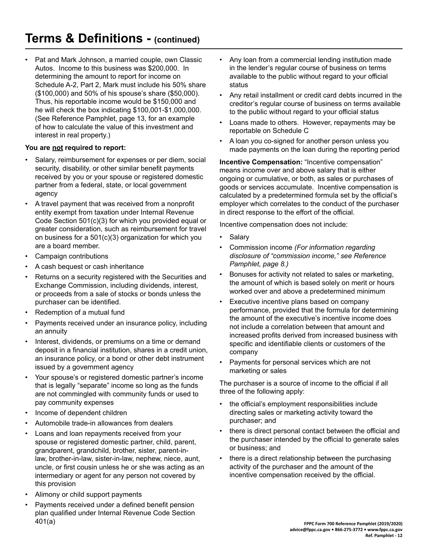• Pat and Mark Johnson, a married couple, own Classic Autos. Income to this business was \$200,000. In determining the amount to report for income on Schedule A-2, Part 2, Mark must include his 50% share (\$100,000) and 50% of his spouse's share (\$50,000). Thus, his reportable income would be \$150,000 and he will check the box indicating \$100,001-\$1,000,000. (See Reference Pamphlet, page 13, for an example of how to calculate the value of this investment and interest in real property.)

#### **You are not required to report:**

- Salary, reimbursement for expenses or per diem, social security, disability, or other similar benefit payments received by you or your spouse or registered domestic partner from a federal, state, or local government agency
- A travel payment that was received from a nonprofit entity exempt from taxation under Internal Revenue Code Section 501(c)(3) for which you provided equal or greater consideration, such as reimbursement for travel on business for a 501(c)(3) organization for which you are a board member.
- Campaign contributions
- A cash bequest or cash inheritance
- Returns on a security registered with the Securities and Exchange Commission, including dividends, interest, or proceeds from a sale of stocks or bonds unless the purchaser can be identified.
- Redemption of a mutual fund
- Payments received under an insurance policy, including an annuity
- Interest, dividends, or premiums on a time or demand deposit in a financial institution, shares in a credit union, an insurance policy, or a bond or other debt instrument issued by a government agency
- Your spouse's or registered domestic partner's income that is legally "separate" income so long as the funds are not commingled with community funds or used to pay community expenses
- Income of dependent children
- Automobile trade-in allowances from dealers
- Loans and loan repayments received from your spouse or registered domestic partner, child, parent, grandparent, grandchild, brother, sister, parent-inlaw, brother-in-law, sister-in-law, nephew, niece, aunt, uncle, or first cousin unless he or she was acting as an intermediary or agent for any person not covered by this provision
- Alimony or child support payments
- Payments received under a defined benefit pension plan qualified under Internal Revenue Code Section 401(a)
- Any loan from a commercial lending institution made in the lender's regular course of business on terms available to the public without regard to your official status
- Any retail installment or credit card debts incurred in the creditor's regular course of business on terms available to the public without regard to your official status
- Loans made to others. However, repayments may be reportable on Schedule C
- A loan you co-signed for another person unless you made payments on the loan during the reporting period

**Incentive Compensation:** "Incentive compensation" means income over and above salary that is either ongoing or cumulative, or both, as sales or purchases of goods or services accumulate. Incentive compensation is calculated by a predetermined formula set by the official's employer which correlates to the conduct of the purchaser in direct response to the effort of the official.

Incentive compensation does not include:

- **Salary**
- Commission income *(For information regarding disclosure of "commission income," see Reference Pamphlet, page 8.)*
- Bonuses for activity not related to sales or marketing, the amount of which is based solely on merit or hours worked over and above a predetermined minimum
- Executive incentive plans based on company performance, provided that the formula for determining the amount of the executive's incentive income does not include a correlation between that amount and increased profits derived from increased business with specific and identifiable clients or customers of the company
- Payments for personal services which are not marketing or sales

The purchaser is a source of income to the official if all three of the following apply:

- the official's employment responsibilities include directing sales or marketing activity toward the purchaser; and
- there is direct personal contact between the official and the purchaser intended by the official to generate sales or business; and
- there is a direct relationship between the purchasing activity of the purchaser and the amount of the incentive compensation received by the official.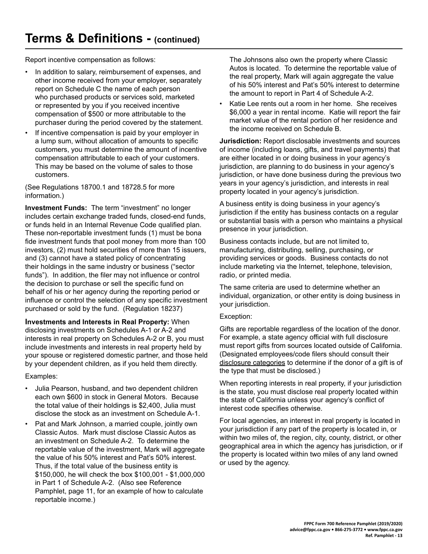Report incentive compensation as follows:

- In addition to salary, reimbursement of expenses, and other income received from your employer, separately report on Schedule C the name of each person who purchased products or services sold, marketed or represented by you if you received incentive compensation of \$500 or more attributable to the purchaser during the period covered by the statement.
- If incentive compensation is paid by your employer in a lump sum, without allocation of amounts to specific customers, you must determine the amount of incentive compensation attributable to each of your customers. This may be based on the volume of sales to those customers.

(See Regulations 18700.1 and 18728.5 for more information.)

**Investment Funds:** The term "investment" no longer includes certain exchange traded funds, closed-end funds, or funds held in an Internal Revenue Code qualified plan. These non-reportable investment funds (1) must be bona fide investment funds that pool money from more than 100 investors, (2) must hold securities of more than 15 issuers, and (3) cannot have a stated policy of concentrating their holdings in the same industry or business ("sector funds"). In addition, the filer may not influence or control the decision to purchase or sell the specific fund on behalf of his or her agency during the reporting period or influence or control the selection of any specific investment purchased or sold by the fund. (Regulation 18237)

**Investments and Interests in Real Property:** When disclosing investments on Schedules A-1 or A-2 and interests in real property on Schedules A-2 or B, you must include investments and interests in real property held by your spouse or registered domestic partner, and those held by your dependent children, as if you held them directly.

Examples:

- Julia Pearson, husband, and two dependent children each own \$600 in stock in General Motors. Because the total value of their holdings is \$2,400, Julia must disclose the stock as an investment on Schedule A-1.
- Pat and Mark Johnson, a married couple, jointly own Classic Autos. Mark must disclose Classic Autos as an investment on Schedule A-2. To determine the reportable value of the investment, Mark will aggregate the value of his 50% interest and Pat's 50% interest. Thus, if the total value of the business entity is \$150,000, he will check the box \$100,001 - \$1,000,000 in Part 1 of Schedule A-2. (Also see Reference Pamphlet, page 11, for an example of how to calculate reportable income.)

The Johnsons also own the property where Classic Autos is located. To determine the reportable value of the real property, Mark will again aggregate the value of his 50% interest and Pat's 50% interest to determine the amount to report in Part 4 of Schedule A-2.

Katie Lee rents out a room in her home. She receives \$6,000 a year in rental income. Katie will report the fair market value of the rental portion of her residence and the income received on Schedule B.

**Jurisdiction:** Report disclosable investments and sources of income (including loans, gifts, and travel payments) that are either located in or doing business in your agency's jurisdiction, are planning to do business in your agency's jurisdiction, or have done business during the previous two years in your agency's jurisdiction, and interests in real property located in your agency's jurisdiction.

A business entity is doing business in your agency's jurisdiction if the entity has business contacts on a regular or substantial basis with a person who maintains a physical presence in your jurisdiction.

Business contacts include, but are not limited to, manufacturing, distributing, selling, purchasing, or providing services or goods. Business contacts do not include marketing via the Internet, telephone, television, radio, or printed media.

The same criteria are used to determine whether an individual, organization, or other entity is doing business in your jurisdiction.

#### Exception:

Gifts are reportable regardless of the location of the donor. For example, a state agency official with full disclosure must report gifts from sources located outside of California. (Designated employees/code filers should consult their disclosure categories to determine if the donor of a gift is of the type that must be disclosed.)

When reporting interests in real property, if your jurisdiction is the state, you must disclose real property located within the state of California unless your agency's conflict of interest code specifies otherwise.

For local agencies, an interest in real property is located in your jurisdiction if any part of the property is located in, or within two miles of, the region, city, county, district, or other geographical area in which the agency has jurisdiction, or if the property is located within two miles of any land owned or used by the agency.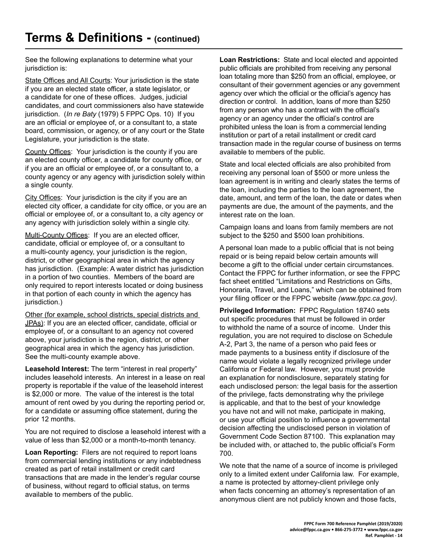See the following explanations to determine what your jurisdiction is:

State Offices and All Courts: Your jurisdiction is the state if you are an elected state officer, a state legislator, or a candidate for one of these offices. Judges, judicial candidates, and court commissioners also have statewide jurisdiction. (*In re Baty* (1979) 5 FPPC Ops. 10) If you are an official or employee of, or a consultant to, a state board, commission, or agency, or of any court or the State Legislature, your jurisdiction is the state.

County Offices: Your jurisdiction is the county if you are an elected county officer, a candidate for county office, or if you are an official or employee of, or a consultant to, a county agency or any agency with jurisdiction solely within a single county.

City Offices: Your jurisdiction is the city if you are an elected city officer, a candidate for city office, or you are an official or employee of, or a consultant to, a city agency or any agency with jurisdiction solely within a single city.

Multi-County Offices: If you are an elected officer, candidate, official or employee of, or a consultant to a multi-county agency, your jurisdiction is the region, district, or other geographical area in which the agency has jurisdiction. (Example: A water district has jurisdiction in a portion of two counties. Members of the board are only required to report interests located or doing business in that portion of each county in which the agency has jurisdiction.)

Other (for example, school districts, special districts and JPAs): If you are an elected officer, candidate, official or employee of, or a consultant to an agency not covered above, your jurisdiction is the region, district, or other geographical area in which the agency has jurisdiction. See the multi-county example above.

**Leasehold Interest:** The term "interest in real property" includes leasehold interests. An interest in a lease on real property is reportable if the value of the leasehold interest is \$2,000 or more. The value of the interest is the total amount of rent owed by you during the reporting period or, for a candidate or assuming office statement, during the prior 12 months.

You are not required to disclose a leasehold interest with a value of less than \$2,000 or a month-to-month tenancy.

**Loan Reporting:** Filers are not required to report loans from commercial lending institutions or any indebtedness created as part of retail installment or credit card transactions that are made in the lender's regular course of business, without regard to official status, on terms available to members of the public.

**Loan Restrictions:** State and local elected and appointed public officials are prohibited from receiving any personal loan totaling more than \$250 from an official, employee, or consultant of their government agencies or any government agency over which the official or the official's agency has direction or control. In addition, loans of more than \$250 from any person who has a contract with the official's agency or an agency under the official's control are prohibited unless the loan is from a commercial lending institution or part of a retail installment or credit card transaction made in the regular course of business on terms available to members of the public.

State and local elected officials are also prohibited from receiving any personal loan of \$500 or more unless the loan agreement is in writing and clearly states the terms of the loan, including the parties to the loan agreement, the date, amount, and term of the loan, the date or dates when payments are due, the amount of the payments, and the interest rate on the loan.

Campaign loans and loans from family members are not subject to the \$250 and \$500 loan prohibitions.

A personal loan made to a public official that is not being repaid or is being repaid below certain amounts will become a gift to the official under certain circumstances. Contact the FPPC for further information, or see the FPPC fact sheet entitled "Limitations and Restrictions on Gifts, Honoraria, Travel, and Loans," which can be obtained from your filing officer or the FPPC website *(www.fppc.ca.gov).*

**Privileged Information:** FPPC Regulation 18740 sets out specific procedures that must be followed in order to withhold the name of a source of income. Under this regulation, you are not required to disclose on Schedule A-2, Part 3, the name of a person who paid fees or made payments to a business entity if disclosure of the name would violate a legally recognized privilege under California or Federal law. However, you must provide an explanation for nondisclosure, separately stating for each undisclosed person: the legal basis for the assertion of the privilege, facts demonstrating why the privilege is applicable, and that to the best of your knowledge you have not and will not make, participate in making, or use your official position to influence a governmental decision affecting the undisclosed person in violation of Government Code Section 87100. This explanation may be included with, or attached to, the public official's Form 700.

We note that the name of a source of income is privileged only to a limited extent under California law. For example, a name is protected by attorney-client privilege only when facts concerning an attorney's representation of an anonymous client are not publicly known and those facts,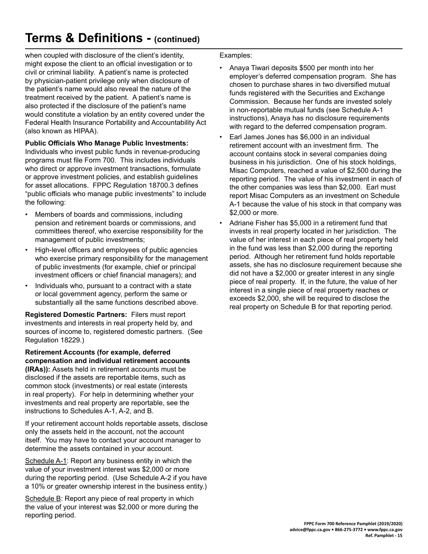# **Terms & Definitions - (continued)**

when coupled with disclosure of the client's identity, might expose the client to an official investigation or to civil or criminal liability. A patient's name is protected by physician-patient privilege only when disclosure of the patient's name would also reveal the nature of the treatment received by the patient. A patient's name is also protected if the disclosure of the patient's name would constitute a violation by an entity covered under the Federal Health Insurance Portability and Accountability Act (also known as HIPAA).

#### **Public Officials Who Manage Public Investments:**

Individuals who invest public funds in revenue-producing programs must file Form 700. This includes individuals who direct or approve investment transactions, formulate or approve investment policies, and establish guidelines for asset allocations. FPPC Regulation 18700.3 defines "public officials who manage public investments" to include the following:

- Members of boards and commissions, including pension and retirement boards or commissions, and committees thereof, who exercise responsibility for the management of public investments;
- High-level officers and employees of public agencies who exercise primary responsibility for the management of public investments (for example, chief or principal investment officers or chief financial managers); and
- Individuals who, pursuant to a contract with a state or local government agency, perform the same or substantially all the same functions described above.

**Registered Domestic Partners:** Filers must report investments and interests in real property held by, and sources of income to, registered domestic partners. (See Regulation 18229.)

**Retirement Accounts (for example, deferred compensation and individual retirement accounts (IRAs)):** Assets held in retirement accounts must be disclosed if the assets are reportable items, such as common stock (investments) or real estate (interests in real property). For help in determining whether your investments and real property are reportable, see the instructions to Schedules A-1, A-2, and B.

If your retirement account holds reportable assets, disclose only the assets held in the account, not the account itself. You may have to contact your account manager to determine the assets contained in your account.

Schedule A-1: Report any business entity in which the value of your investment interest was \$2,000 or more during the reporting period. (Use Schedule A-2 if you have a 10% or greater ownership interest in the business entity.)

Schedule B: Report any piece of real property in which the value of your interest was \$2,000 or more during the reporting period.

Examples:

- Anaya Tiwari deposits \$500 per month into her employer's deferred compensation program. She has chosen to purchase shares in two diversified mutual funds registered with the Securities and Exchange Commission. Because her funds are invested solely in non-reportable mutual funds (see Schedule A-1 instructions), Anaya has no disclosure requirements with regard to the deferred compensation program.
- Earl James Jones has \$6,000 in an individual retirement account with an investment firm. The account contains stock in several companies doing business in his jurisdiction. One of his stock holdings, Misac Computers, reached a value of \$2,500 during the reporting period. The value of his investment in each of the other companies was less than \$2,000. Earl must report Misac Computers as an investment on Schedule A-1 because the value of his stock in that company was \$2,000 or more.
- Adriane Fisher has \$5,000 in a retirement fund that invests in real property located in her jurisdiction. The value of her interest in each piece of real property held in the fund was less than \$2,000 during the reporting period. Although her retirement fund holds reportable assets, she has no disclosure requirement because she did not have a \$2,000 or greater interest in any single piece of real property. If, in the future, the value of her interest in a single piece of real property reaches or exceeds \$2,000, she will be required to disclose the real property on Schedule B for that reporting period.